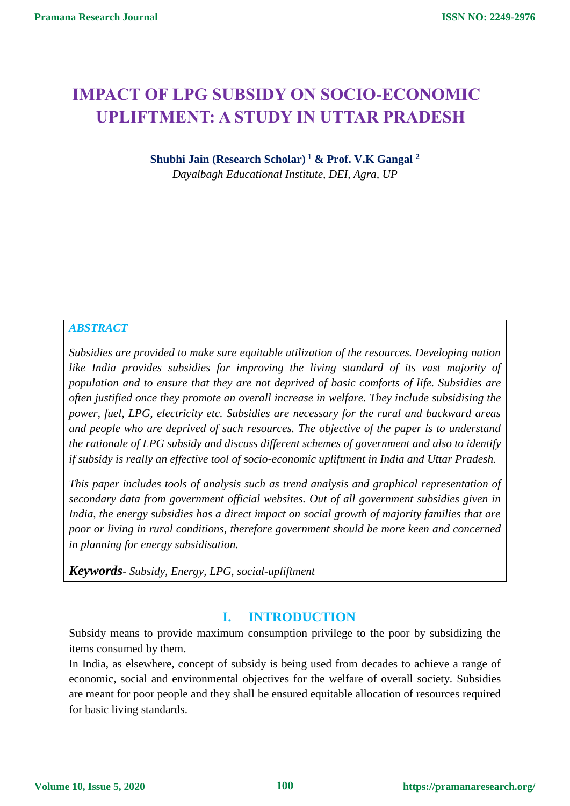# **IMPACT OF LPG SUBSIDY ON SOCIO-ECONOMIC UPLIFTMENT: A STUDY IN UTTAR PRADESH**

**Shubhi Jain (Research Scholar) <sup>1</sup> & Prof. V.K Gangal <sup>2</sup>** *Dayalbagh Educational Institute, DEI, Agra, UP*

#### *ABSTRACT*

*Subsidies are provided to make sure equitable utilization of the resources. Developing nation like India provides subsidies for improving the living standard of its vast majority of population and to ensure that they are not deprived of basic comforts of life. Subsidies are often justified once they promote an overall increase in welfare. They include subsidising the power, fuel, LPG, electricity etc. Subsidies are necessary for the rural and backward areas and people who are deprived of such resources. The objective of the paper is to understand the rationale of LPG subsidy and discuss different schemes of government and also to identify if subsidy is really an effective tool of socio-economic upliftment in India and Uttar Pradesh.*

*This paper includes tools of analysis such as trend analysis and graphical representation of secondary data from government official websites. Out of all government subsidies given in India, the energy subsidies has a direct impact on social growth of majority families that are poor or living in rural conditions, therefore government should be more keen and concerned in planning for energy subsidisation.*

*Keywords- Subsidy, Energy, LPG, social-upliftment*

### **I. INTRODUCTION**

Subsidy means to provide maximum consumption privilege to the poor by subsidizing the items consumed by them.

In India, as elsewhere, concept of subsidy is being used from decades to achieve a range of economic, social and environmental objectives for the welfare of overall society. Subsidies are meant for poor people and they shall be ensured equitable allocation of resources required for basic living standards.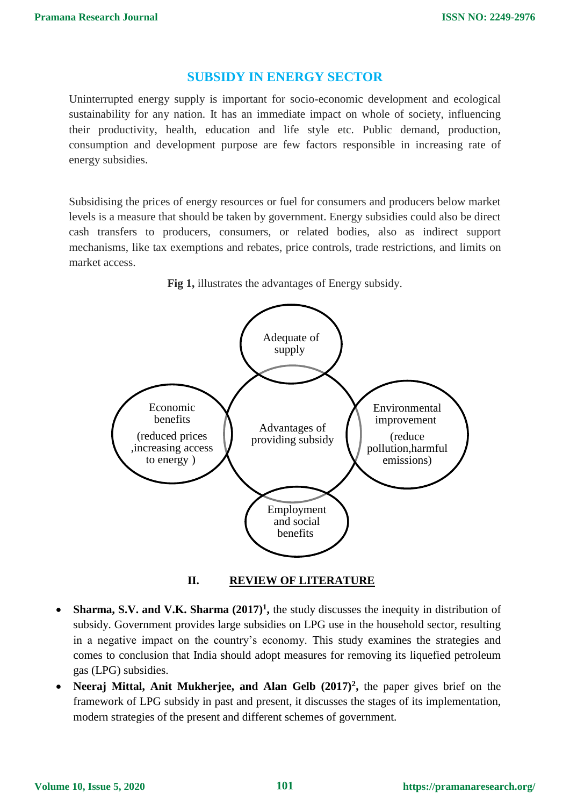#### **SUBSIDY IN ENERGY SECTOR**

Uninterrupted energy supply is important for socio-economic development and ecological sustainability for any nation. It has an immediate impact on whole of society, influencing their productivity, health, education and life style etc. Public demand, production, consumption and development purpose are few factors responsible in increasing rate of energy subsidies.

Subsidising the prices of energy resources or fuel for consumers and producers below market levels is a measure that should be taken by government. Energy subsidies could also be direct cash transfers to producers, consumers, or related bodies, also as indirect support mechanisms, like tax exemptions and rebates, price controls, trade restrictions, and limits on market access.



**Fig 1,** illustrates the advantages of Energy subsidy.

**II. REVIEW OF LITERATURE**

- Sharma, S.V. and V.K. Sharma  $(2017)^1$ , the study discusses the inequity in distribution of subsidy. Government provides large subsidies on LPG use in the household sector, resulting in a negative impact on the country's economy. This study examines the strategies and comes to conclusion that India should adopt measures for removing its liquefied petroleum gas (LPG) subsidies.
- **Neeraj Mittal, Anit Mukherjee, and Alan Gelb (2017)<sup>2</sup> ,** the paper gives brief on the framework of LPG subsidy in past and present, it discusses the stages of its implementation, modern strategies of the present and different schemes of government.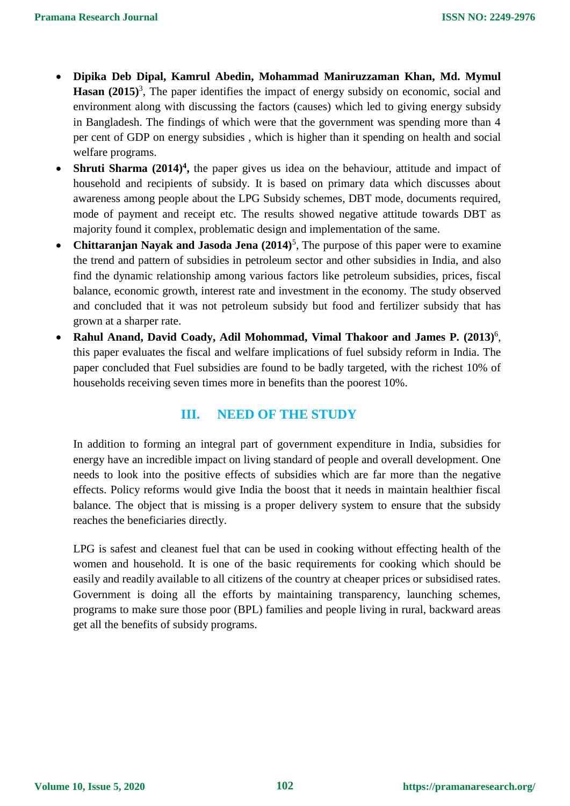- **Dipika Deb Dipal, Kamrul Abedin, Mohammad Maniruzzaman Khan, Md. Mymul**  Hasan (2015)<sup>3</sup>, The paper identifies the impact of energy subsidy on economic, social and environment along with discussing the factors (causes) which led to giving energy subsidy in Bangladesh. The findings of which were that the government was spending more than 4 per cent of GDP on energy subsidies , which is higher than it spending on health and social welfare programs.
- Shruti Sharma (2014)<sup>4</sup>, the paper gives us idea on the behaviour, attitude and impact of household and recipients of subsidy. It is based on primary data which discusses about awareness among people about the LPG Subsidy schemes, DBT mode, documents required, mode of payment and receipt etc. The results showed negative attitude towards DBT as majority found it complex, problematic design and implementation of the same.
- **Chittaranjan Nayak and Jasoda Jena** (2014)<sup>5</sup>, The purpose of this paper were to examine the trend and pattern of subsidies in petroleum sector and other subsidies in India, and also find the dynamic relationship among various factors like petroleum subsidies, prices, fiscal balance, economic growth, interest rate and investment in the economy. The study observed and concluded that it was not petroleum subsidy but food and fertilizer subsidy that has grown at a sharper rate.
- **Rahul Anand, David Coady, Adil Mohommad, Vimal Thakoor and James P. (2013)**<sup>6</sup> , this paper evaluates the fiscal and welfare implications of fuel subsidy reform in India. The paper concluded that Fuel subsidies are found to be badly targeted, with the richest 10% of households receiving seven times more in benefits than the poorest 10%.

# **III. NEED OF THE STUDY**

In addition to forming an integral part of government expenditure in India, subsidies for energy have an incredible impact on living standard of people and overall development. One needs to look into the positive effects of subsidies which are far more than the negative effects. Policy reforms would give India the boost that it needs in maintain healthier fiscal balance. The object that is missing is a proper delivery system to ensure that the subsidy reaches the beneficiaries directly.

LPG is safest and cleanest fuel that can be used in cooking without effecting health of the women and household. It is one of the basic requirements for cooking which should be easily and readily available to all citizens of the country at cheaper prices or subsidised rates. Government is doing all the efforts by maintaining transparency, launching schemes, programs to make sure those poor (BPL) families and people living in rural, backward areas get all the benefits of subsidy programs.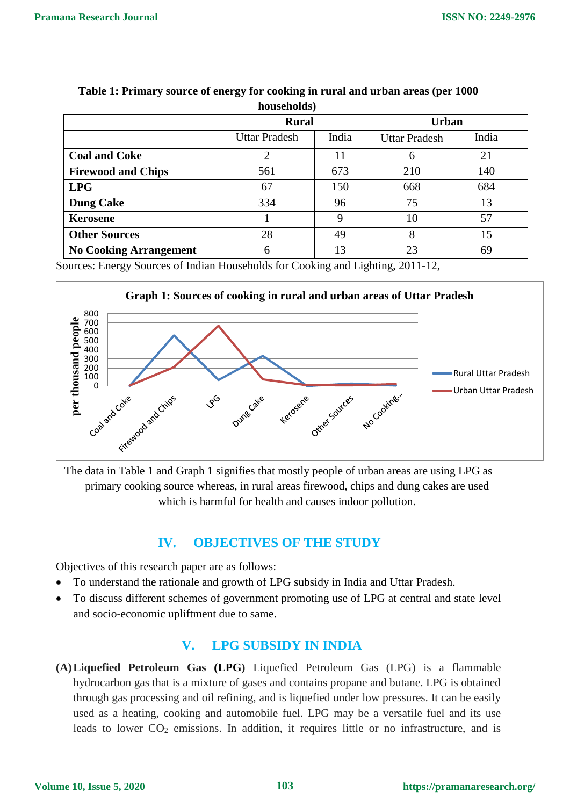| nouschorus,                   |                      |       |                      |       |
|-------------------------------|----------------------|-------|----------------------|-------|
|                               | <b>Rural</b>         |       | <b>Urban</b>         |       |
|                               | <b>Uttar Pradesh</b> | India | <b>Uttar Pradesh</b> | India |
| <b>Coal and Coke</b>          | ∍                    | 11    | 6                    | 21    |
| <b>Firewood and Chips</b>     | 561                  | 673   | 210                  | 140   |
| <b>LPG</b>                    | 67                   | 150   | 668                  | 684   |
| <b>Dung Cake</b>              | 334                  | 96    | 75                   | 13    |
| <b>Kerosene</b>               |                      | 9     | 10                   | 57    |
| <b>Other Sources</b>          | 28                   | 49    | 8                    | 15    |
| <b>No Cooking Arrangement</b> | 6                    | 13    | 23                   | 69    |

#### **Table 1: Primary source of energy for cooking in rural and urban areas (per 1000 households)**

Sources: Energy Sources of Indian Households for Cooking and Lighting, 2011-12,



The data in Table 1 and Graph 1 signifies that mostly people of urban areas are using LPG as primary cooking source whereas, in rural areas firewood, chips and dung cakes are used which is harmful for health and causes indoor pollution.

# **IV. OBJECTIVES OF THE STUDY**

Objectives of this research paper are as follows:

- To understand the rationale and growth of LPG subsidy in India and Uttar Pradesh.
- To discuss different schemes of government promoting use of LPG at central and state level and socio-economic upliftment due to same.

# **V. LPG SUBSIDY IN INDIA**

**(A)Liquefied Petroleum Gas (LPG)** Liquefied Petroleum Gas (LPG) is a flammable hydrocarbon gas that is a mixture of gases and contains propane and butane. LPG is obtained through gas processing and oil refining, and is liquefied under low pressures. It can be easily used as a heating, cooking and automobile fuel. LPG may be a versatile fuel and its use leads to lower  $CO<sub>2</sub>$  emissions. In addition, it requires little or no infrastructure, and is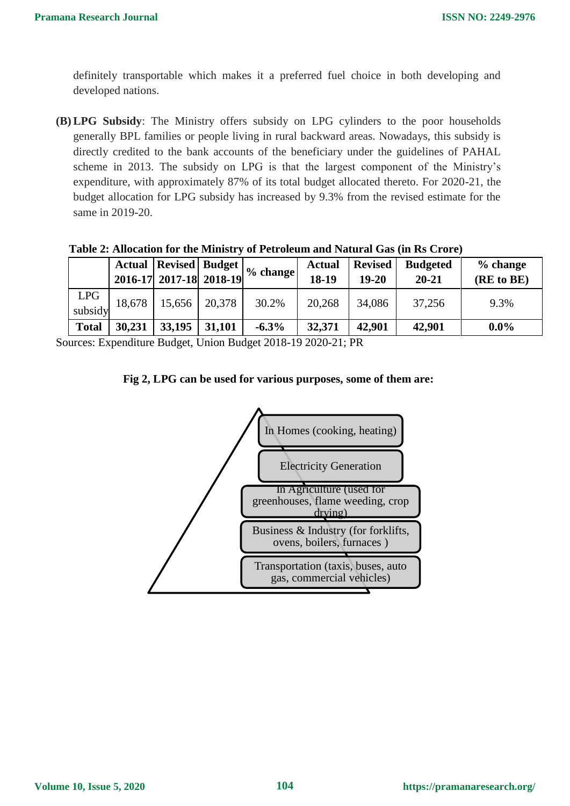definitely transportable which makes it a preferred fuel choice in both developing and developed nations.

**(B) LPG Subsidy**: The Ministry offers subsidy on LPG cylinders to the poor households generally BPL families or people living in rural backward areas. Nowadays, this subsidy is directly credited to the bank accounts of the beneficiary under the guidelines of PAHAL scheme in 2013. The subsidy on LPG is that the largest component of the Ministry's expenditure, with approximately 87% of its total budget allocated thereto. For 2020-21, the budget allocation for LPG subsidy has increased by 9.3% from the revised estimate for the same in 2019-20.

|                       |        | 2016-17 2017-18 2018-19 |        | $\overline{R}$ Actual Revised Budget $\left  \frac{9}{2} \right $ % change | <b>Actual</b><br>18-19 | <b>Revised</b><br>$19 - 20$ | <b>Budgeted</b><br>$20 - 21$ | % change<br>(RE to BE) |
|-----------------------|--------|-------------------------|--------|----------------------------------------------------------------------------|------------------------|-----------------------------|------------------------------|------------------------|
| <b>LPG</b><br>subsidy | 18,678 | 15,656                  | 20,378 | 30.2%                                                                      | 20,268                 | 34,086                      | 37,256                       | 9.3%                   |
| <b>Total</b>          | 30,231 | 33,195                  | 31,101 | $-6.3\%$                                                                   | 32,371                 | 42,901                      | 42,901                       | $0.0\%$                |

**Table 2: Allocation for the Ministry of Petroleum and Natural Gas (in Rs Crore)**

Sources: Expenditure Budget, Union Budget 2018-19 2020-21; PR



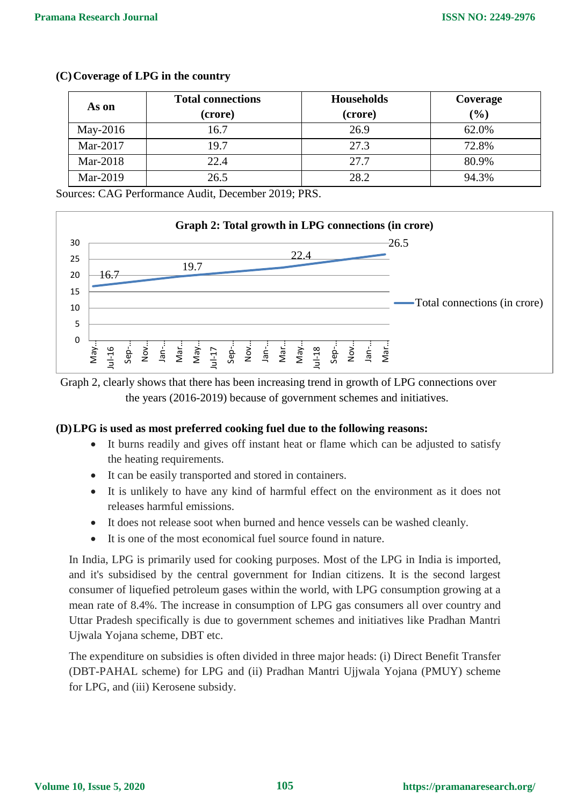| As on    | <b>Total connections</b><br>(crore) | <b>Households</b><br>(crore) | Coverage<br>(%) |
|----------|-------------------------------------|------------------------------|-----------------|
| May-2016 | 16.7                                | 26.9                         | 62.0%           |
| Mar-2017 | 19.7                                | 27.3                         | 72.8%           |
| Mar-2018 | 22.4                                | 27.7                         | 80.9%           |
| Mar-2019 | 26.5                                | 28.2                         | 94.3%           |

#### **(C)Coverage of LPG in the country**

Sources: CAG Performance Audit, December 2019; PRS.





#### **(D)LPG is used as most preferred cooking fuel due to the following reasons:**

- It burns readily and gives off instant heat or flame which can be adjusted to satisfy the heating requirements.
- It can be easily transported and stored in containers.
- It is unlikely to have any kind of harmful effect on the environment as it does not releases harmful emissions.
- It does not release soot when burned and hence vessels can be washed cleanly.
- It is one of the most economical fuel source found in nature.

In India, LPG is primarily used for cooking purposes. Most of the LPG in India is imported, and it's subsidised by the central government for Indian citizens. It is the second largest consumer of liquefied petroleum gases within the world, with LPG consumption growing at a mean rate of 8.4%. The increase in consumption of LPG gas consumers all over country and Uttar Pradesh specifically is due to government schemes and initiatives like Pradhan Mantri Ujwala Yojana scheme, DBT etc.

The expenditure on subsidies is often divided in three major heads: (i) Direct Benefit Transfer (DBT-PAHAL scheme) for LPG and (ii) Pradhan Mantri Ujjwala Yojana (PMUY) scheme for LPG, and (iii) Kerosene subsidy.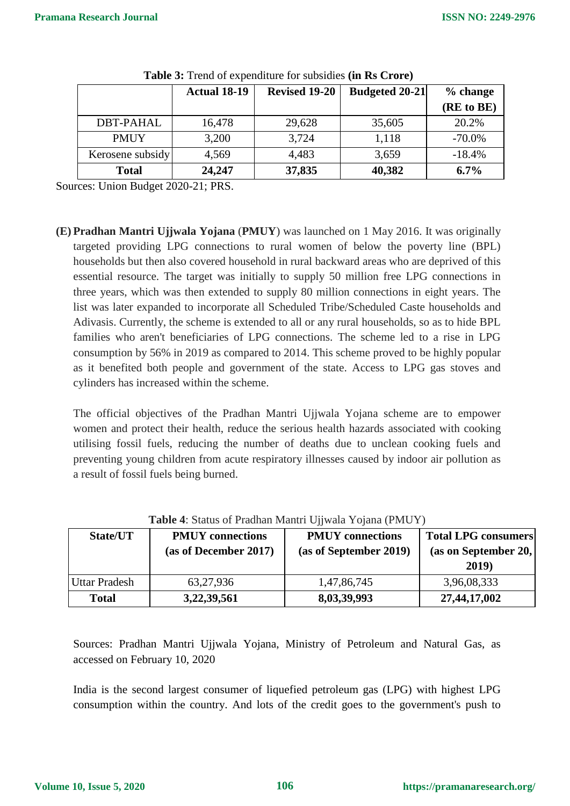|                  | <b>Actual 18-19</b> | <b>Revised 19-20</b> | <b>Budgeted 20-21</b> | % change   |
|------------------|---------------------|----------------------|-----------------------|------------|
|                  |                     |                      |                       | (RE to BE) |
| <b>DBT-PAHAL</b> | 16,478              | 29,628               | 35,605                | 20.2%      |
| <b>PMUY</b>      | 3,200               | 3,724                | 1,118                 | $-70.0\%$  |
| Kerosene subsidy | 4,569               | 4,483                | 3,659                 | $-18.4%$   |
| <b>Total</b>     | 24,247              | 37,835               | 40,382                | 6.7%       |

**Table 3:** Trend of expenditure for subsidies **(in Rs Crore)**

Sources: Union Budget 2020-21; PRS.

**(E) Pradhan Mantri Ujjwala Yojana** (**PMUY**) was launched on 1 May 2016. It was originally targeted providing LPG connections to rural women of below the poverty line (BPL) households but then also covered household in rural backward areas who are deprived of this essential resource. The target was initially to supply 50 million free LPG connections in three years, which was then extended to supply 80 million connections in eight years. The list was later expanded to incorporate all Scheduled Tribe/Scheduled Caste households and Adivasis. Currently, the scheme is extended to all or any rural households, so as to hide BPL families who aren't beneficiaries of LPG connections. The scheme led to a rise in LPG consumption by 56% in 2019 as compared to 2014. This scheme proved to be highly popular as it benefited both people and government of the state. Access to LPG gas stoves and cylinders has increased within the scheme.

The official objectives of the Pradhan Mantri Ujjwala Yojana scheme are to empower women and protect their health, reduce the serious health hazards associated with cooking utilising fossil fuels, reducing the number of deaths due to unclean cooking fuels and preventing young children from acute respiratory illnesses caused by indoor air pollution as a result of fossil fuels being burned.

| <b>Lavic <math>\pi</math>.</b> Status Of Fragman Manuff Offwald Toland (Fig. 1) |                                                    |                        |                            |  |
|---------------------------------------------------------------------------------|----------------------------------------------------|------------------------|----------------------------|--|
| State/UT                                                                        | <b>PMUY</b> connections<br><b>PMUY</b> connections |                        | <b>Total LPG consumers</b> |  |
|                                                                                 | (as of December 2017)                              | (as of September 2019) | (as on September 20,       |  |
|                                                                                 |                                                    |                        | 2019)                      |  |
| <b>Uttar Pradesh</b>                                                            | 63,27,936                                          | 1,47,86,745            | 3,96,08,333                |  |
| <b>Total</b>                                                                    | 3,22,39,561                                        | 8,03,39,993            | 27,44,17,002               |  |

**Table 4**: Status of Pradhan Mantri Ujjwala Yojana (PMUY)

Sources: Pradhan Mantri Ujjwala Yojana, Ministry of Petroleum and Natural Gas, as accessed on February 10, 2020

India is the second largest consumer of liquefied petroleum gas (LPG) with highest LPG consumption within the country. And lots of the credit goes to the government's push to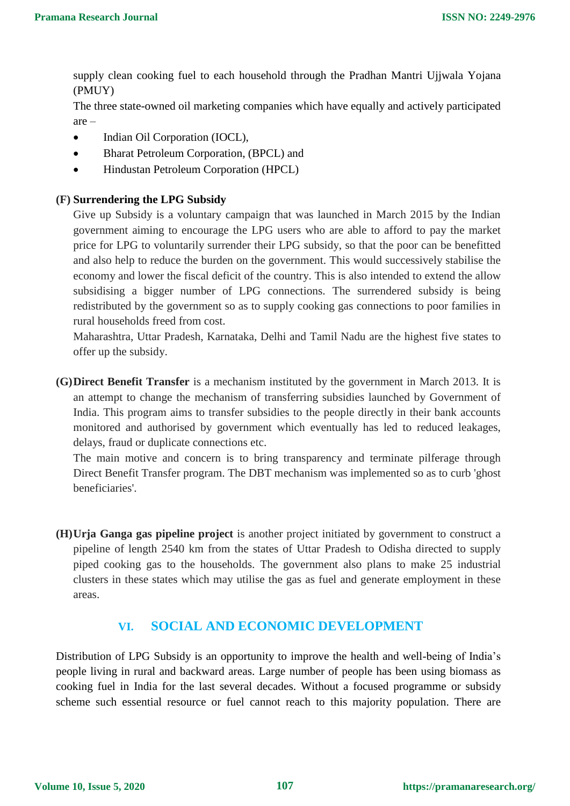supply clean cooking fuel to each household through the Pradhan Mantri Ujjwala Yojana (PMUY)

The three state-owned oil marketing companies which have equally and actively participated are –

- Indian Oil Corporation [\(IOCL](https://www.businesstoday.in/sectors/energy/ioc-wins-retail-gas-licences-in-10-cities-hpcl-9/story/322841.html)),
- Bharat Petroleum Corporation, (BPCL) and
- Hindustan Petroleum Corporation (HPCL)

#### **(F) Surrendering the LPG Subsidy**

Give up Subsidy is a voluntary campaign that was launched in March 2015 by the Indian government aiming to encourage the LPG users who are able to afford to pay the market price for LPG to voluntarily surrender their LPG subsidy, so that the poor can be benefitted and also help to reduce the burden on the government. This would successively stabilise the economy and lower the fiscal deficit of the country. This is also intended to extend the allow subsidising a bigger number of LPG connections. The surrendered subsidy is being redistributed by the government so as to supply cooking gas connections to poor families in rural households freed from cost.

Maharashtra, Uttar Pradesh, Karnataka, Delhi and Tamil Nadu are the highest five states to offer up the subsidy.

**(G)Direct Benefit Transfer** is a mechanism instituted by the government in March 2013. It is an attempt to change the mechanism of transferring subsidies launched by Government of India. This program aims to transfer subsidies to the people directly in their bank accounts monitored and authorised by government which eventually has led to reduced leakages, delays, fraud or duplicate connections etc.

The main motive and concern is to bring transparency and terminate pilferage through Direct Benefit Transfer program. The DBT mechanism was implemented so as to curb 'ghost beneficiaries'.

**(H)Urja Ganga gas pipeline project** is another project initiated by government to construct a pipeline of length 2540 km from the states of Uttar Pradesh to Odisha directed to supply piped cooking gas to the households. The government also plans to make 25 industrial clusters in these states which may utilise the gas as fuel and generate employment in these areas.

#### **VI. SOCIAL AND ECONOMIC DEVELOPMENT**

Distribution of LPG Subsidy is an opportunity to improve the health and well-being of India's people living in rural and backward areas. Large number of people has been using biomass as cooking fuel in India for the last several decades. Without a focused programme or subsidy scheme such essential resource or fuel cannot reach to this majority population. There are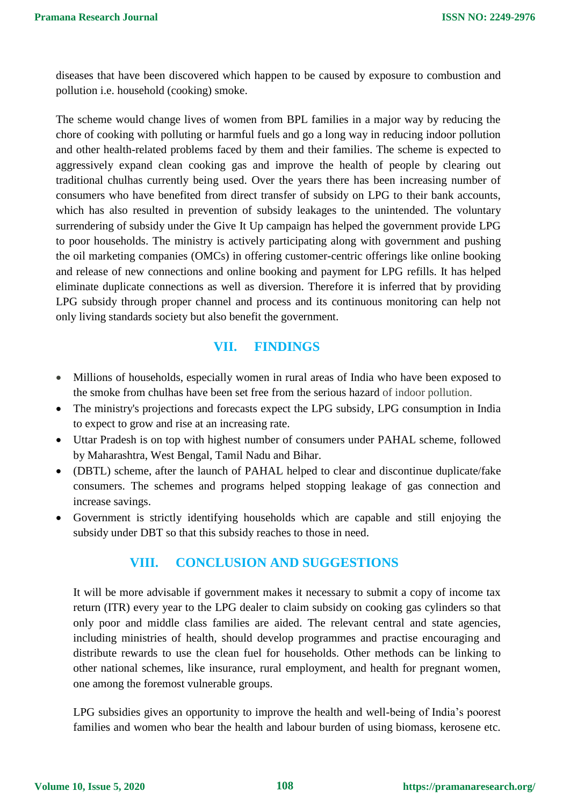diseases that have been discovered which happen to be caused by exposure to combustion and pollution i.e. household (cooking) smoke.

The scheme would change lives of women from BPL families in a major way by reducing the chore of cooking with polluting or harmful fuels and go a long way in reducing indoor pollution and other health-related problems faced by them and their families. The scheme is expected to aggressively expand clean cooking gas and improve the health of people by clearing out traditional chulhas currently being used. Over the years there has been increasing number of consumers who have benefited from direct transfer of subsidy on LPG to their bank accounts, which has also resulted in prevention of subsidy leakages to the unintended. The voluntary surrendering of subsidy under the Give It Up campaign has helped the government provide LPG to poor households. The ministry is actively participating along with government and pushing the oil marketing companies (OMCs) in offering customer-centric offerings like online booking and release of new connections and online booking and payment for LPG refills. It has helped eliminate duplicate connections as well as diversion. Therefore it is inferred that by providing LPG subsidy through proper channel and process and its continuous monitoring can help not only living standards society but also benefit the government.

# **VII. FINDINGS**

- Millions of households, especially women in rural areas of India who have been exposed to the smoke from chulhas have been set free from the serious hazard of indoor pollution.
- The ministry's projections and forecasts expect the LPG subsidy, LPG consumption in India to expect to grow and rise at an increasing rate.
- Uttar Pradesh is on top with highest number of consumers under PAHAL scheme, followed by Maharashtra, West Bengal, Tamil Nadu and Bihar.
- (DBTL) scheme, after the launch of PAHAL helped to clear and discontinue duplicate/fake consumers. The schemes and programs helped stopping leakage of gas connection and increase savings.
- Government is strictly identifying households which are capable and still enjoying the subsidy under DBT so that this subsidy reaches to those in need.

# **VIII. CONCLUSION AND SUGGESTIONS**

It will be more advisable if government makes it necessary to submit a copy of income tax return (ITR) every year to the LPG dealer to claim subsidy on cooking gas cylinders so that only poor and middle class families are aided. The relevant central and state agencies, including ministries of health, should develop programmes and practise encouraging and distribute rewards to use the clean fuel for households. Other methods can be linking to other national schemes, like insurance, rural employment, and health for pregnant women, one among the foremost vulnerable groups.

LPG subsidies gives an opportunity to improve the health and well-being of India's poorest families and women who bear the health and labour burden of using biomass, kerosene etc.